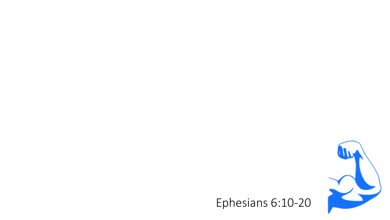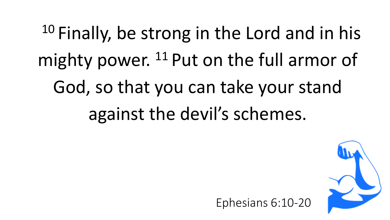$10$  Finally, be strong in the Lord and in his mighty power. <sup>11</sup> Put on the full armor of God, so that you can take your stand against the devil's schemes.

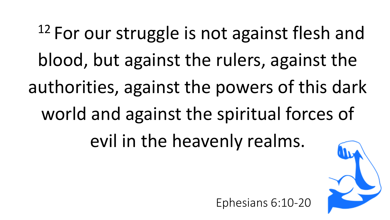<sup>12</sup> For our struggle is not against flesh and blood, but against the rulers, against the authorities, against the powers of this dark world and against the spiritual forces of evil in the heavenly realms.



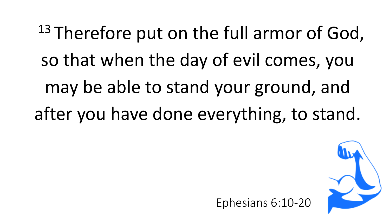<sup>13</sup> Therefore put on the full armor of God, so that when the day of evil comes, you may be able to stand your ground, and after you have done everything, to stand.

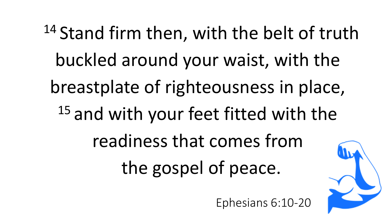<sup>14</sup> Stand firm then, with the belt of truth buckled around your waist, with the breastplate of righteousness in place, <sup>15</sup> and with your feet fitted with the readiness that comes from the gospel of peace.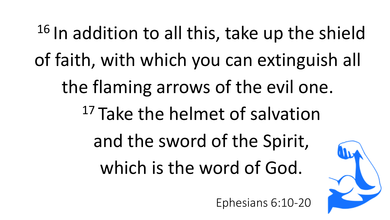<sup>16</sup> In addition to all this, take up the shield of faith, with which you can extinguish all the flaming arrows of the evil one. <sup>17</sup> Take the helmet of salvation and the sword of the Spirit, which is the word of God.

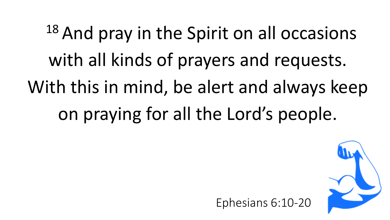<sup>18</sup> And pray in the Spirit on all occasions with all kinds of prayers and requests. With this in mind, be alert and always keep on praying for all the Lord's people.